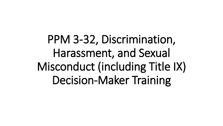PPM 3-32, Discrimination, Harassment, and Sexual Misconduct (including Title IX) Decision-Maker Training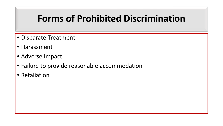### **Forms of Prohibited Discrimination**

- Disparate Treatment
- Harassment
- Adverse Impact
- Failure to provide reasonable accommodation
- Retaliation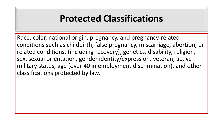#### **Protected Classifications**

Race, color, national origin, pregnancy, and pregnancy-related conditions such as childbirth, false pregnancy, miscarriage, abortion, or related conditions, (including recovery), genetics, disability, religion, sex, sexual orientation, gender identity/expression, veteran, active military status, age (over 40 in employment discrimination), and other classifications protected by law.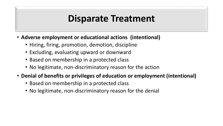#### **Disparate Treatment**

- **Adverse employment or educational actions (intentional)**
	- Hiring, firing, promotion, demotion, discipline
	- Excluding, evaluating upward or downward
	- Based on membership in a protected class
	- No legitimate, non-discriminatory reason for the action
- **Denial of benefits or privileges of education or employment (intentional)**
	- Based on membership in a protected class
	- No legitimate, non-discriminatory reason for the denial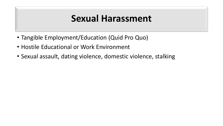#### **Sexual Harassment**

- Tangible Employment/Education (Quid Pro Quo)
- Hostile Educational or Work Environment
- Sexual assault, dating violence, domestic violence, stalking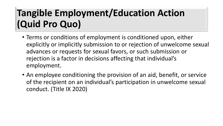# **Tangible Employment/Education Action (Quid Pro Quo)**

- Terms or conditions of employment is conditioned upon, either explicitly or implicitly submission to or rejection of unwelcome sexual advances or requests for sexual favors, or such submission or rejection is a factor in decisions affecting that individual's employment.
- An employee conditioning the provision of an aid, benefit, or service of the recipient on an individual's participation in unwelcome sexual conduct. (Title IX 2020)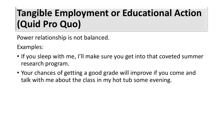# **Tangible Employment or Educational Action (Quid Pro Quo)**

Power relationship is not balanced.

Examples:

- If you sleep with me, I'll make sure you get into that coveted summer research program.
- Your chances of getting a good grade will improve if you come and talk with me about the class in my hot tub some evening.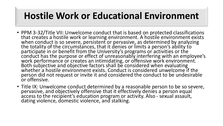## **Hostile Work or Educational Environment**

- PPM 3-32/Title VII: Unwelcome conduct that is based on protected classifications that creates a hostile work or learning environment. A hostile environment exists when conduct is so severe, persistent or pervasive, as determined by analyzing the totality of the circumstances, that it denies or limits a person's ability to participate in or benefit from the University's programs or activities or the conduct has the purpose or effect of unreasonably interfering with an employee's work performance or creates an intimidating, or offensive work environment. Both subjective and objective factors shall be considered when evaluating whether a hostile environment exists. Conduct is considered unwelcome if the person did not request or invite it and considered the conduct to be undesirable or offensive.
- Title IX: Unwelcome conduct determined by a reasonable person to be so severe, pervasive, and objectively offensive that it effectively denies a person equal access to the recipient's education program or activity. Also - sexual assault, dating violence, domestic violence, and stalking.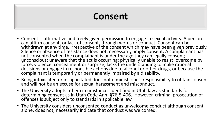# **Consent**

- Consent is affirmative and freely given permission to engage in sexual activity. A person can affirm consent, or lack of consent, through words or conduct. Consent can be withdrawn at any time, irrespective of the consent which may have been given previously. Silence or absence of resistance does not, necessarily, imply consent. A complainant has not consented when the complainant is under the age they can legally consent; unconscious; unaware that the act is occurring; physically unable to resist; overcome by force, violence, concealment or surprise; lacks the understanding to make rational decisions or engage in responsible actions due to alcohol or other drugs, or because the complainant is temporarily or permanently impaired by a disability.
- Being intoxicated or incapacitated does not diminish one's responsibility to obtain consent and will not be an excuse for sexual harassment and misconduct.
- The University adopts other circumstances identified in Utah law as standards for determining consent as in Utah Code Ann. §76-5-406. However, criminal prosecution of offenses is subject only to standards in applicable law.
- The University considers unconsented conduct as unwelcome conduct although consent, alone, does not, necessarily indicate that conduct was welcomed.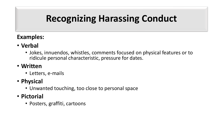# **Recognizing Harassing Conduct**

#### **Examples:**

- **Verbal**
	- Jokes, innuendos, whistles, comments focused on physical features or to ridicule personal characteristic, pressure for dates.

#### • **Written**

- Letters, e-mails
- **Physical**
	- Unwanted touching, too close to personal space
- **Pictorial**
	- Posters, graffiti, cartoons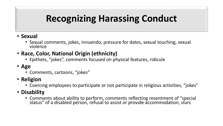# **Recognizing Harassing Conduct**

- **Sexual**
	- Sexual comments, jokes, innuendo, pressure for dates, sexual touching, sexual violence
- **Race, Color, National Origin (ethnicity)**
	- Epithets, "jokes", comments focused on physical features, ridicule
- **Age**
	- Comments, cartoons, "jokes"
- **Religion**
	- Coercing employees to participate or not participate in religious activities, "jokes"
- **Disability**
	- Comments about ability to perform, comments reflecting resentment of "special status" of a disabled person, refusal to assist or provide accommodation, slurs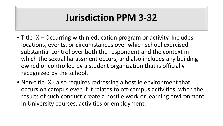### **Jurisdiction PPM 3-32**

- Title IX Occurring within education program or activity. Includes locations, events, or circumstances over which school exercised substantial control over both the respondent and the context in which the sexual harassment occurs, and also includes any building owned or controlled by a student organization that is officially recognized by the school.
- Non-title IX also requires redressing a hostile environment that occurs on campus even if it relates to off-campus activities, when the results of such conduct create a hostile work or learning environment in University courses, activities or employment.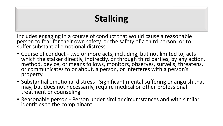# **Stalking**

Includes engaging in a course of conduct that would cause a reasonable person to fear for their own safety, or the safety of a third person, or to suffer substantial emotional distress.

- Course of conduct two or more acts, including, but not limited to, acts which the stalker directly, indirectly, or through third parties, by any action, method, device, or means follows, monitors, observes, surveils, threatens, or communicates to or about, a person, or interferes with a person's property
- Substantial emotional distress Significant mental suffering or anguish that may, but does not necessarily, require medical or other professional treatment or counseling
- Reasonable person Person under similar circumstances and with similar identities to the complainant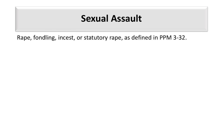#### **Sexual Assault**

Rape, fondling, incest, or statutory rape, as defined in PPM 3-32.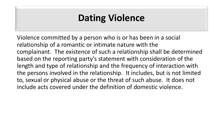# **Dating Violence**

Violence committed by a person who is or has been in a social relationship of a romantic or intimate nature with the complainant. The existence of such a relationship shall be determined based on the reporting party's statement with consideration of the length and type of relationship and the frequency of interaction with the persons involved in the relationship. It includes, but is not limited to, sexual or physical abuse or the threat of such abuse. It does not include acts covered under the definition of domestic violence.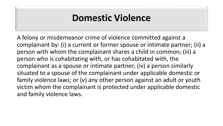### **Domestic Violence**

A felony or misdemeanor crime of violence committed against a complainant by: (i) a current or former spouse or intimate partner; (ii) a person with whom the complainant shares a child in common; (iii) a person who is cohabitating with, or has cohabitated with, the complainant as a spouse or intimate partner; (iv) a person similarly situated to a spouse of the complainant under applicable domestic or family violence laws; or (v) any other person against an adult or youth victim whom the complainant is protected under applicable domestic and family violence laws.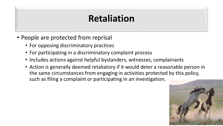## **Retaliation**

- People are protected from reprisal
	- For opposing discriminatory practices
	- For participating in a discriminatory complaint process
	- Includes actions against helpful bystanders, witnesses, complainants
	- Action is generally deemed retaliatory if it would deter a reasonable person in the same circumstances from engaging in activities protected by this policy, such as filing a complaint or participating in an investigation.

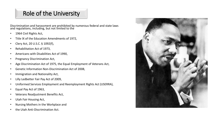#### Role of the University

Discrimination and harassment are prohibited by numerous federal and state laws and regulations, including, but not limited to the

- 1964 Civil Rights Act,
- Title IX of the Education Amendments of 1972,
- Clery Act, 20 U.S.C. § 1092(f),
- Rehabilitation Act of 1973,
- Americans with Disabilities Act of 1990,
- Pregnancy Discrimination Act,
- Age Discrimination Act of 1975, the Equal Employment of Veterans Act,
- Genetic Information Non-Discrimination Act of 2008,
- Immigration and Nationality Act,
- Lilly Ledbetter Fair Pay Act of 2009,
- Uniformed Services Employment and Reemployment Rights Act (USERRA),
- Equal Pay Act of 1963,
- Veterans Readjustment Benefits Act,
- Utah Fair Housing Act,
- Nursing Mothers in the Workplace and
- the Utah Anti-Discrimination Act.

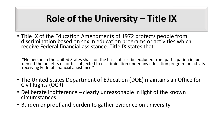# **Role of the University – Title IX**

• Title IX of the Education Amendments of 1972 protects people from discrimination based on sex in education programs or activities which receive Federal financial assistance. Title IX states that:

"No person in the United States shall, on the basis of sex, be excluded from participation in, be denied the benefits of, or be subjected to discrimination under any education program or activity receiving Federal financial assistance."

- The United States Department of Education (DOE) maintains an Office for Civil Rights (OCR).
- Deliberate indifference clearly unreasonable in light of the known circumstances.
- Burden or proof and burden to gather evidence on university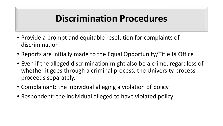### **Discrimination Procedures**

- Provide a prompt and equitable resolution for complaints of discrimination
- Reports are initially made to the Equal Opportunity/Title IX Office
- Even if the alleged discrimination might also be a crime, regardless of whether it goes through a criminal process, the University process proceeds separately.
- Complainant: the individual alleging a violation of policy
- Respondent: the individual alleged to have violated policy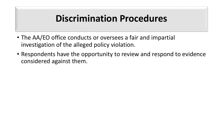### **Discrimination Procedures**

- The AA/EO office conducts or oversees a fair and impartial investigation of the alleged policy violation.
- Respondents have the opportunity to review and respond to evidence considered against them.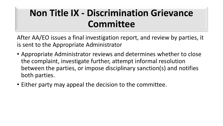# **Non Title IX - Discrimination Grievance Committee**

After AA/EO issues a final investigation report, and review by parties, it is sent to the Appropriate Administrator

- Appropriate Administrator reviews and determines whether to close the complaint, investigate further, attempt informal resolution between the parties, or impose disciplinary sanction(s) and notifies both parties.
- Either party may appeal the decision to the committee.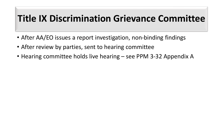## **Title IX Discrimination Grievance Committee**

- After AA/EO issues a report investigation, non-binding findings
- After review by parties, sent to hearing committee
- Hearing committee holds live hearing see PPM 3-32 Appendix A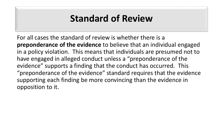### **Standard of Review**

For all cases the standard of review is whether there is a **preponderance of the evidence** to believe that an individual engaged in a policy violation. This means that individuals are presumed not to have engaged in alleged conduct unless a "preponderance of the evidence" supports a finding that the conduct has occurred. This "preponderance of the evidence" standard requires that the evidence supporting each finding be more convincing than the evidence in opposition to it.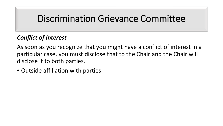#### Discrimination Grievance Committee

#### *Conflict of Interest*

As soon as you recognize that you might have a conflict of interest in a particular case, you must disclose that to the Chair and the Chair will disclose it to both parties.

• Outside affiliation with parties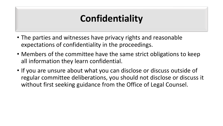## **Confidentiality**

- The parties and witnesses have privacy rights and reasonable expectations of confidentiality in the proceedings.
- Members of the committee have the same strict obligations to keep all information they learn confidential.
- If you are unsure about what you can disclose or discuss outside of regular committee deliberations, you should not disclose or discuss it without first seeking guidance from the Office of Legal Counsel.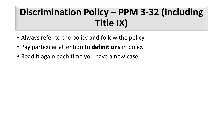# **Discrimination Policy – PPM 3-32 (including Title IX)**

- Always refer to the policy and follow the policy
- Pay particular attention to **definitions** in policy
- Read it again each time you have a new case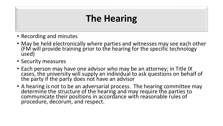## **The Hearing**

- Recording and minutes
- May be held electronically where parties and witnesses may see each other (FM will provide training prior to the hearing for the specific technology used)
- Security measures
- Each person may have one advisor who may be an attorney; in Title IX cases, the university will supply an individual to ask questions on behalf of the party if the party does not have an advisor
- A hearing is not to be an adversarial process. The hearing committee may determine the structure of the hearing and may require the parties to communicate their positions in accordance with reasonable rules of procedure, decorum, and respect.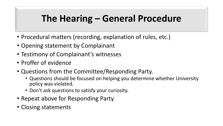# **The Hearing – General Procedure**

- Procedural matters (recording, explanation of rules, etc.)
- Opening statement by Complainant
- Testimony of Complainant's witnesses
- Proffer of evidence
- Questions from the Committee/Responding Party.
	- Questions should be focused on helping you determine whether University policy was violated.
	- Don't ask questions to satisfy your curiosity.
- Repeat above for Responding Party
- Closing statements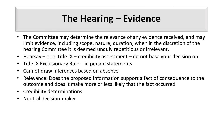# **The Hearing – Evidence**

- The Committee may determine the relevance of any evidence received, and may limit evidence, including scope, nature, duration, when in the discretion of the hearing Committee it is deemed unduly repetitious or irrelevant.
- Hearsay non-Title IX credibility assessment do not base your decision on
- Title IX Exclusionary Rule in person statements
- Cannot draw inferences based on absence
- Relevance: Does the proposed information support a fact of consequence to the outcome and does it make more or less likely that the fact occurred
- Credibility determinations
- Neutral decision-maker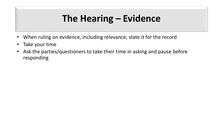# **The Hearing – Evidence**

- When ruling on evidence, including relevance, state it for the record
- Take your time
- Ask the parties/questioners to take their time in asking and pause before responding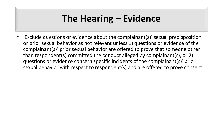## **The Hearing – Evidence**

• Exclude questions or evidence about the complainant(s)' sexual predisposition or prior sexual behavior as not relevant unless 1) questions or evidence of the complainant(s)' prior sexual behavior are offered to prove that someone other than respondent(s) committed the conduct alleged by complainant(s), or 2) questions or evidence concern specific incidents of the complainant(s)' prior sexual behavior with respect to respondent(s) and are offered to prove consent.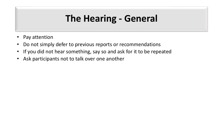## **The Hearing - General**

- Pay attention
- Do not simply defer to previous reports or recommendations
- If you did not hear something, say so and ask for it to be repeated
- Ask participants not to talk over one another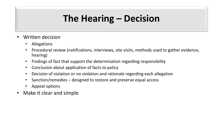# **The Hearing – Decision**

- Written decision
	- Allegations
	- Procedural review (notifications, interviews, site visits, methods used to gather evidence, hearing)
	- Findings of fact that support the determination regarding responsibility
	- Conclusion about application of facts to policy
	- Decision of violation or no violation and rationale regarding each allegation
	- Sanction/remedies designed to restore and preserve equal access
	- Appeal options
- Make it clear and simple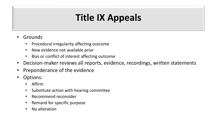# **Title IX Appeals**

- **Grounds** 
	- Procedural irregularity affecting outcome
	- New evidence not available prior
	- Bias or conflict of interest affecting outcome
- Decision-maker reviews all reports, evidence, recordings, written statements
- Preponderance of the evidence
- Options:
	- Affirm
	- Substitute action with hearing committee
	- Recommend reconsider
	- Remand for specific purpose
	- No alteration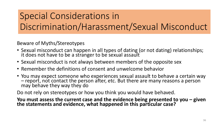# Special Considerations in Discrimination/Harassment/Sexual Misconduct

Beware of Myths/Stereotypes

- Sexual misconduct can happen in all types of dating (or not dating) relationships; it does not have to be a stranger to be sexual assault
- Sexual misconduct is not always between members of the opposite sex
- Remember the definitions of consent and unwelcome behavior
- You may expect someone who experiences sexual assault to behave a certain way – report, not contact the person after, etc. But there are many reasons a person may behave they way they do

Do not rely on stereotypes or how you think you would have behaved.

**You must assess the current case and the evidence being presented to you – given the statements and evidence, what happened in this particular case?**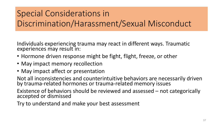### Special Considerations in Discrimination/Harassment/Sexual Misconduct

Individuals experiencing trauma may react in different ways. Traumatic experiences may result in:

- Hormone driven response might be fight, flight, freeze, or other
- May impact memory recollection
- May impact affect or presentation

Not all inconsistencies and counterintuitive behaviors are necessarily driven by trauma-related hormones or trauma-related memory issues

Existence of behaviors should be reviewed and assessed – not categorically accepted or dismissed

Try to understand and make your best assessment